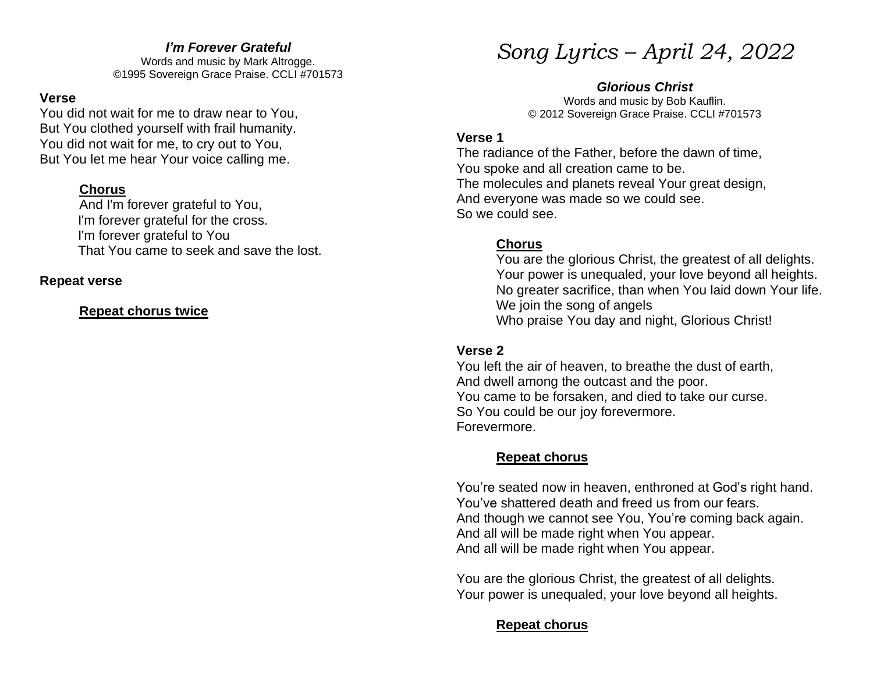#### *I'm Forever Grateful*

Words and music by Mark Altrogge. ©1995 Sovereign Grace Praise. CCLI #701573

#### **Verse**

You did not wait for me to draw near to You, But You clothed yourself with frail humanity. You did not wait for me, to cry out to You, But You let me hear Your voice calling me.

#### **Chorus**

And I'm forever grateful to You, I'm forever grateful for the cross. I'm forever grateful to You That You came to seek and save the lost.

#### **Repeat verse**

**Repeat chorus twice**

# *Song Lyrics – April 24, 2022*

#### *Glorious Christ*

Words and music by Bob Kauflin. © 2012 Sovereign Grace Praise. CCLI #701573

#### **Verse 1**

The radiance of the Father, before the dawn of time, You spoke and all creation came to be. The molecules and planets reveal Your great design, And everyone was made so we could see. So we could see.

#### **Chorus**

You are the glorious Christ, the greatest of all delights. Your power is unequaled, your love beyond all heights. No greater sacrifice, than when You laid down Your life. We join the song of angels Who praise You day and night, Glorious Christ!

#### **Verse 2**

You left the air of heaven, to breathe the dust of earth, And dwell among the outcast and the poor. You came to be forsaken, and died to take our curse. So You could be our joy forevermore. Forevermore.

#### **Repeat chorus**

You're seated now in heaven, enthroned at God's right hand. You've shattered death and freed us from our fears. And though we cannot see You, You're coming back again. And all will be made right when You appear. And all will be made right when You appear.

You are the glorious Christ, the greatest of all delights. Your power is unequaled, your love beyond all heights.

## **Repeat chorus**